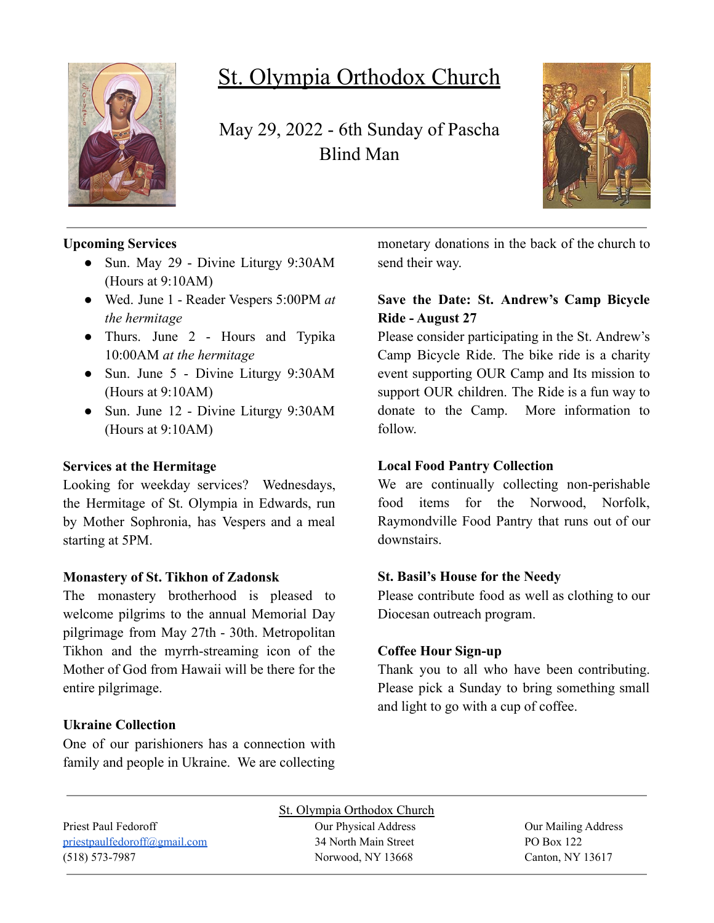

# St. Olympia Orthodox Church

May 29, 2022 - 6th Sunday of Pascha Blind Man



#### **Upcoming Services**

- Sun. May 29 Divine Liturgy 9:30AM (Hours at 9:10AM)
- Wed. June 1 Reader Vespers 5:00PM *at the hermitage*
- Thurs. June 2 Hours and Typika 10:00AM *at the hermitage*
- Sun. June 5 Divine Liturgy 9:30AM (Hours at 9:10AM)
- Sun. June 12 Divine Liturgy 9:30AM (Hours at 9:10AM)

#### **Services at the Hermitage**

Looking for weekday services? Wednesdays, the Hermitage of St. Olympia in Edwards, run by Mother Sophronia, has Vespers and a meal starting at 5PM.

#### **Monastery of St. Tikhon of Zadonsk**

The monastery brotherhood is pleased to welcome pilgrims to the annual Memorial Day pilgrimage from May 27th - 30th. Metropolitan Tikhon and the myrrh-streaming icon of the Mother of God from Hawaii will be there for the entire pilgrimage.

**Ukraine Collection**

One of our parishioners has a connection with family and people in Ukraine. We are collecting monetary donations in the back of the church to send their way.

#### **Save the Date: St. Andrew's Camp Bicycle Ride - August 27**

Please consider participating in the St. Andrew's Camp Bicycle Ride. The bike ride is a charity event supporting OUR Camp and Its mission to support OUR children. The Ride is a fun way to donate to the Camp. More information to follow.

#### **Local Food Pantry Collection**

We are continually collecting non-perishable food items for the Norwood, Norfolk, Raymondville Food Pantry that runs out of our downstairs.

#### **St. Basil's House for the Needy**

Please contribute food as well as clothing to our Diocesan outreach program.

#### **Coffee Hour Sign-up**

Thank you to all who have been contributing. Please pick a Sunday to bring something small and light to go with a cup of coffee.

## [priestpaulfedoroff@gmail.com](mailto:priestpaulfedoroff@gmail.com) 34 North Main Street PO Box 122 (518) 573-7987 Norwood, NY 13668 Canton, NY 13617

St. Olympia Orthodox Church Priest Paul Fedoroff **Our Physical Address** Our Physical Address **Our Mailing Address**